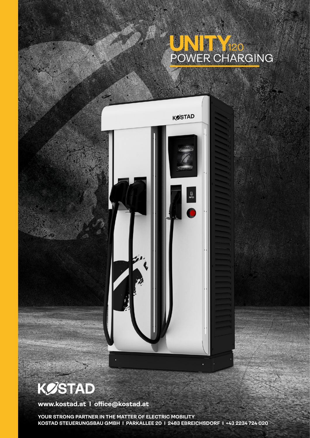## POWER CHARGING 120





**www.kostad.at I office@kostad.at**

**YOUR STRONG PARTNER IN THE MATTER OF ELECTRIC MOBILITY KOSTAD STEUERUNGSBAU GMBH I PARKALLEE 20 I 2483 EBREICHSDORF I +43 2234 724 020**